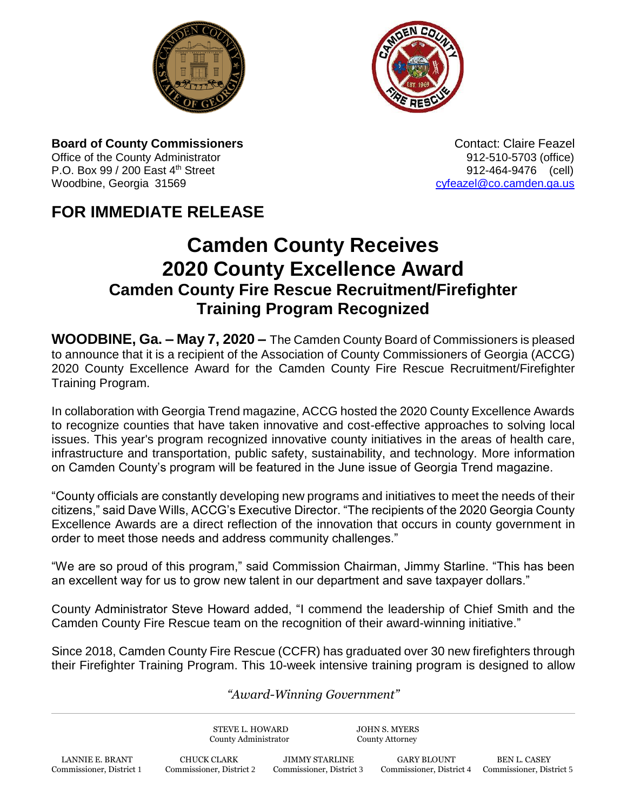



**Board of County Commissioners Contact: Claire Feazel Contact: Claire Feazel** Office of the County Administrator **912-510-5703** (office) P.O. Box 99 / 200 East 4<sup>th</sup> Street 912-464-9476 (cell) Woodbine, Georgia 31569 [cyfeazel@co.camden.ga.us](mailto:cyfeazel@co.camden.ga.us)

## **FOR IMMEDIATE RELEASE**

## **Camden County Receives 2020 County Excellence Award Camden County Fire Rescue Recruitment/Firefighter Training Program Recognized**

**WOODBINE, Ga. – May 7, 2020 –** The Camden County Board of Commissioners is pleased to announce that it is a recipient of the Association of County Commissioners of Georgia (ACCG) 2020 County Excellence Award for the Camden County Fire Rescue Recruitment/Firefighter Training Program.

In collaboration with Georgia Trend magazine, ACCG hosted the 2020 County Excellence Awards to recognize counties that have taken innovative and cost-effective approaches to solving local issues. This year's program recognized innovative county initiatives in the areas of health care, infrastructure and transportation, public safety, sustainability, and technology. More information on Camden County's program will be featured in the June issue of Georgia Trend magazine.

"County officials are constantly developing new programs and initiatives to meet the needs of their citizens," said Dave Wills, ACCG's Executive Director. "The recipients of the 2020 Georgia County Excellence Awards are a direct reflection of the innovation that occurs in county government in order to meet those needs and address community challenges."

"We are so proud of this program," said Commission Chairman, Jimmy Starline. "This has been an excellent way for us to grow new talent in our department and save taxpayer dollars."

County Administrator Steve Howard added, "I commend the leadership of Chief Smith and the Camden County Fire Rescue team on the recognition of their award-winning initiative."

Since 2018, Camden County Fire Rescue (CCFR) has graduated over 30 new firefighters through their Firefighter Training Program. This 10-week intensive training program is designed to allow

## *"Award-Winning Government"*

STEVE L. HOWARD JOHN S. MYERS County Administrator County Attorney